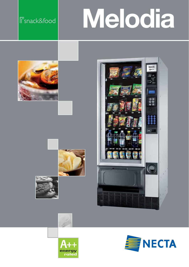# snack&food **Melodia**













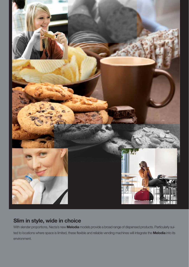

### **Slim in style, wide in choice**

With slender proportions, Necta's new **Melodia** models provide a broad range of dispensed products. Particularly suited to locations where space is limited, these flexible and reliable vending machines will integrate the **Melodia** into its environment.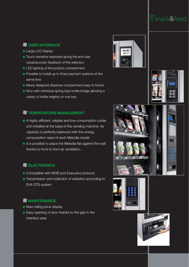## snack&food

#### **USER INTERFACE**

- Large LCD Display
- Touch-sensitive keyboard giving the end user visual/acoustic feedback of the selection
- **LED lighting of the product compartment.**
- **Possible to install up to three payment systems at the** same time
- Newly designed dispense compartment easy to brand
- Now with individual spring type bottle bridge allowing a variety of bottle heights on one tray

#### **TEMPERATURE MANAGEMENT**

- A highly efficient, reliable and low-consumption cooler unit installed at the base of the vending machine. Its capacity is perfectly balanced with the energy consumption need of each Melodia model.
- It is possible to place the Melodia flat against the wall thanks to front to front air ventilation.

#### **ELECTRONICS**

- Compatible with MDB and Executive protocol
- **Transmission and collection of statistics according to** EVA DTS system

#### **MAINTENANCE**

- New rolling price display
- Easy opening of door thanks to the grip in the interface area